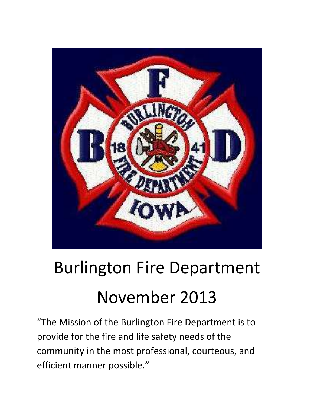

# Burlington Fire Department November 2013

"The Mission of the Burlington Fire Department is to provide for the fire and life safety needs of the community in the most professional, courteous, and efficient manner possible."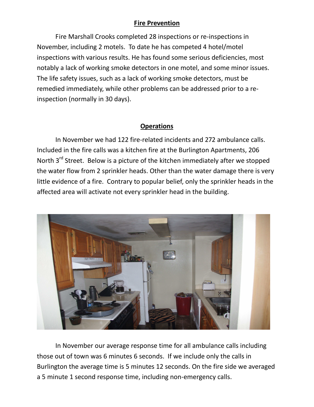### **Fire Prevention**

 Fire Marshall Crooks completed 28 inspections or re-inspections in November, including 2 motels. To date he has competed 4 hotel/motel inspections with various results. He has found some serious deficiencies, most notably a lack of working smoke detectors in one motel, and some minor issues. The life safety issues, such as a lack of working smoke detectors, must be remedied immediately, while other problems can be addressed prior to a reinspection (normally in 30 days).

## **Operations**

In November we had 122 fire-related incidents and 272 ambulance calls. Included in the fire calls was a kitchen fire at the Burlington Apartments, 206 North 3<sup>rd</sup> Street. Below is a picture of the kitchen immediately after we stopped the water flow from 2 sprinkler heads. Other than the water damage there is very little evidence of a fire. Contrary to popular belief, only the sprinkler heads in the affected area will activate not every sprinkler head in the building.



In November our average response time for all ambulance calls including those out of town was 6 minutes 6 seconds. If we include only the calls in Burlington the average time is 5 minutes 12 seconds. On the fire side we averaged a 5 minute 1 second response time, including non-emergency calls.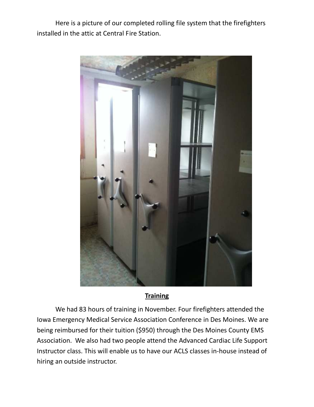Here is a picture of our completed rolling file system that the firefighters installed in the attic at Central Fire Station.



#### **Training**

 We had 83 hours of training in November. Four firefighters attended the Iowa Emergency Medical Service Association Conference in Des Moines. We are being reimbursed for their tuition (\$950) through the Des Moines County EMS Association. We also had two people attend the Advanced Cardiac Life Support Instructor class. This will enable us to have our ACLS classes in-house instead of hiring an outside instructor.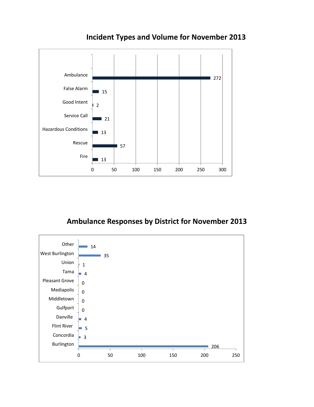

**Incident Types and Volume for November 2013** 

## **Ambulance Responses by District for November 2013**